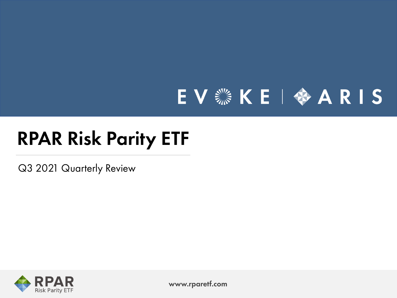# EV SE |  $A A R$  | S

# RPAR Risk Parity ETF

Q3 2021 Quarterly Review



www.rparetf.com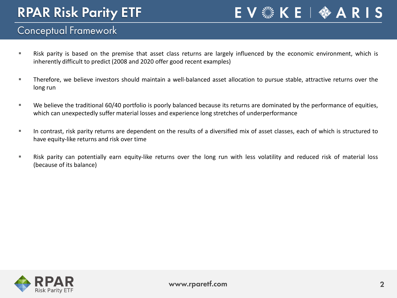E V ▒ K E | �� A R I S

#### Conceptual Framework

- Risk parity is based on the premise that asset class returns are largely influenced by the economic environment, which is inherently difficult to predict (2008 and 2020 offer good recent examples)
- Therefore, we believe investors should maintain a well-balanced asset allocation to pursue stable, attractive returns over the long run
- We believe the traditional 60/40 portfolio is poorly balanced because its returns are dominated by the performance of equities, which can unexpectedly suffer material losses and experience long stretches of underperformance
- In contrast, risk parity returns are dependent on the results of a diversified mix of asset classes, each of which is structured to have equity-like returns and risk over time
- Risk parity can potentially earn equity-like returns over the long run with less volatility and reduced risk of material loss (because of its balance)

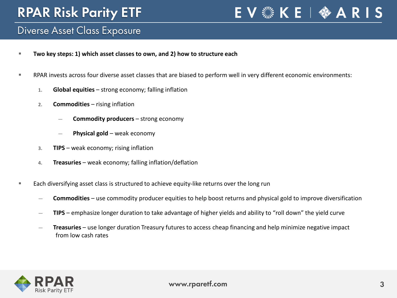### EV . KE | ◆ AR IS

#### Diverse Asset Class Exposure

- **Two key steps: 1) which asset classes to own, and 2) how to structure each**
- RPAR invests across four diverse asset classes that are biased to perform well in very different economic environments:
	- **1. Global equities** strong economy; falling inflation
	- **2. Commodities** rising inflation
		- ― **Commodity producers** strong economy
		- ― **Physical gold** weak economy
	- **3. TIPS** weak economy; rising inflation
	- **4. Treasuries** weak economy; falling inflation/deflation
- **Each diversifying asset class is structured to achieve equity-like returns over the long run** 
	- ― **Commodities** use commodity producer equities to help boost returns and physical gold to improve diversification
	- ― **TIPS** emphasize longer duration to take advantage of higher yields and ability to "roll down" the yield curve
	- ― **Treasuries** use longer duration Treasury futures to access cheap financing and help minimize negative impact from low cash rates

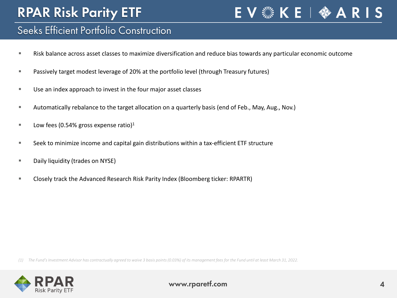#### Seeks Efficient Portfolio Construction

- Risk balance across asset classes to maximize diversification and reduce bias towards any particular economic outcome
- Passively target modest leverage of 20% at the portfolio level (through Treasury futures)
- Use an index approach to invest in the four major asset classes
- Automatically rebalance to the target allocation on a quarterly basis (end of Feb., May, Aug., Nov.)
- **Low fees (0.54% gross expense ratio)**<sup>1</sup>
- Seek to minimize income and capital gain distributions within a tax-efficient ETF structure
- **Daily liquidity (trades on NYSE)**
- Closely track the Advanced Research Risk Parity Index (Bloomberg ticker: RPARTR)

The Fund's Investment Advisor has contractually agreed to waive 3 basis points (0.03%) of its management fees for the Fund until at least March 31, 2022.



E V ▒ K E | ◆ A R I S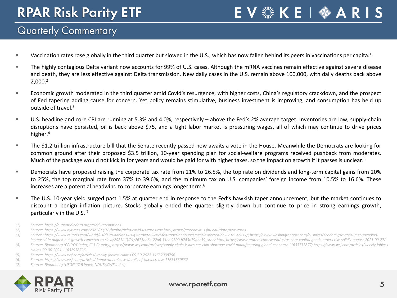EV & KE | � ARIS

#### Quarterly Commentary

- " Vaccination rates rose globally in the third quarter but slowed in the U.S., which has now fallen behind its peers in vaccinations per capita.<sup>1</sup>
- The highly contagious Delta variant now accounts for 99% of U.S. cases. Although the mRNA vaccines remain effective against severe disease and death, they are less effective against Delta transmission. New daily cases in the U.S. remain above 100,000, with daily deaths back above 2,000. 2
- Economic growth moderated in the third quarter amid Covid's resurgence, with higher costs, China's regulatory crackdown, and the prospect of Fed tapering adding cause for concern. Yet policy remains stimulative, business investment is improving, and consumption has held up outside of travel.<sup>3</sup>
- U.S. headline and core CPI are running at 5.3% and 4.0%, respectively above the Fed's 2% average target. Inventories are low, supply-chain disruptions have persisted, oil is back above \$75, and a tight labor market is pressuring wages, all of which may continue to drive prices higher. 4
- The \$1.2 trillion infrastructure bill that the Senate recently passed now awaits a vote in the House. Meanwhile the Democrats are looking for common ground after their proposed \$3.5 trillion, 10-year spending plan for social-welfare programs received pushback from moderates. Much of the package would not kick in for years and would be paid for with higher taxes, so the impact on growth if it passes is unclear.<sup>5</sup>
- Democrats have proposed raising the corporate tax rate from 21% to 26.5%, the top rate on dividends and long-term capital gains from 20% to 25%, the top marginal rate from 37% to 39.6%, and the minimum tax on U.S. companies' foreign income from 10.5% to 16.6%. These increases are a potential headwind to corporate earnings longer term.<sup>6</sup>
- The U.S. 10-year yield surged past 1.5% at quarter end in response to the Fed's hawkish taper announcement, but the market continues to discount a benign inflation picture. Stocks globally ended the quarter slightly down but continue to price in strong earnings growth, particularly in the U.S. <sup>7</sup>
- *(1) Source: https://ourworldindata.org/covid-vaccinations*
- *(2) Source: https://www.nytimes.com/2021/09/18/health/delta-covid-us-cases-cdc.html; https://coronavirus.jhu.edu/data/new-cases*
- *(3) Source : https://www.reuters.com/world/us/delta-darkens-us-q3-growth-views-fed-taper-announcement-expected-nov-2021-09-17/; https://www.washingtonpost.com/business/economy/us-consumer-spendingincreased-in-august-but-growth-expected-to-slow/2021/10/01/2675bb6a-22a6-11ec-9309-b743b79abc59\_story.html; https://www.reuters.com/world/us/us-core-capital-goods-orders-rise-solidly-august-2021-09-27/*
- (4) Source: Bloomberg (CPI YOY Index, CL1 Comdty); https://www.wsj.com/articles/supply-chain-issues-car-chip-shortage-covid-manufacturing-global-economy-11633713877; https://www.wsj.com/articles/weekly-jobless*claims-09-30-2021-11632938796*
- *(5) Source: https://www.wsj.com/articles/weekly-jobless-claims-09-30-2021-11632938796*
- *(6) Source: https://www.wsj.com/articles/democrats-release-details-of-tax-increase-11631539532*
- *(7) Source: Bloomberg (USGG10YR Index, NDUEACWF Index)*



#### www.rparetf.com 5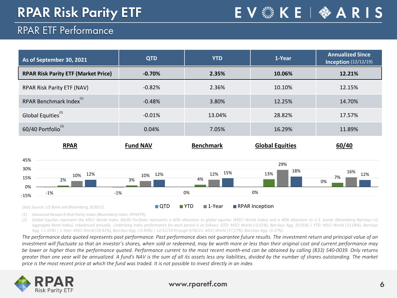**EV▒KE | ✿ A R I S** 

### RPAR ETF Performance

| <b>QTD</b>       | <b>YTD</b>                  | 1-Year                                            | <b>Annualized Since</b><br><b>Inception</b> (12/12/19) |
|------------------|-----------------------------|---------------------------------------------------|--------------------------------------------------------|
| $-0.70%$         | 2.35%                       | 10.06%                                            | 12.21%                                                 |
| $-0.82%$         | 2.36%                       | 10.10%                                            | 12.15%                                                 |
| $-0.48%$         | 3.80%                       | 12.25%                                            | 14.70%                                                 |
| $-0.01%$         | 13.04%                      | 28.82%                                            | 17.57%                                                 |
| 0.04%            | 7.05%                       | 16.29%                                            | 11.89%                                                 |
| <b>Fund NAV</b>  | <b>Benchmark</b>            | <b>Global Equities</b>                            | 60/40                                                  |
|                  |                             | 29%                                               |                                                        |
| 12%<br>10%<br>3% | 15%<br>12%<br>4%            | 18%<br>13%                                        | 16%<br>12%<br>7%<br>0%                                 |
|                  |                             | 0%                                                |                                                        |
|                  | $-1%$<br>$\blacksquare$ QTD | 0%<br>$\blacksquare$ YTD<br>$\blacksquare$ 1-Year | RPAR Inception                                         |

*(1) Advanced Research Risk Parity Index (Bloomberg ticker: RPARTR).*

(2) Global Equities represent the MSCI World Index. 60/40 Portfolio represents a 60% allocation to global equities (MSCI World Index) and a 40% allocation to U.S. bonds (Bloomberg Barclays US Aggregate Bond Index), rebalanced annually. Underlying index performance for each period is as follows: QTD: MSCI World (-0.01%), Barclays Agg. (0.05%) | YTD: MSCI World (13.04%), Barclays Agg. (-1.55%) | 1-Year: MSCI World (28.82%), Barclays Agg. (-0.90%) | 12/12/19 through 9/30/21: MSCI World (17.57%), Barclays Agg. (3.37%).

The performance data quoted represents past performance. Past performance does not guarantee future results. The investment return and principal value of an investment will fluctuate so that an investor's shares, when sold or redeemed, may be worth more or less than their original cost and current performance may be lower or higher than the performance quoted. Performance current to the most recent month-end can be obtained by calling (833) 540-0039. Only returns greater than one year will be annualized. A fund's NAV is the sum of all its assets less any liabilities, divided by the number of shares outstanding. The market price is the most recent price at which the fund was traded. It is not possible to invest directly in an index.



#### www.rparetf.com 6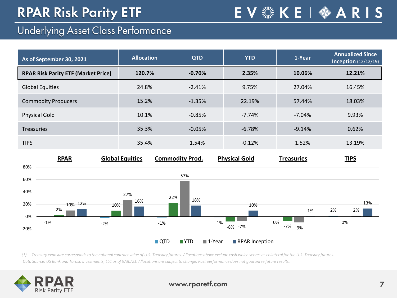### Underlying Asset Class Performance

| As of September 30, 2021                   | <b>Allocation</b> | <b>QTD</b> | <b>YTD</b> | 1-Year   | <b>Annualized Since</b><br><b>Inception</b> (12/12/19) |
|--------------------------------------------|-------------------|------------|------------|----------|--------------------------------------------------------|
| <b>RPAR Risk Parity ETF (Market Price)</b> | 120.7%            | $-0.70%$   | 2.35%      | 10.06%   | 12.21%                                                 |
| Global Equities                            | 24.8%             | $-2.41%$   | 9.75%      | 27.04%   | 16.45%                                                 |
| <b>Commodity Producers</b>                 | 15.2%             | $-1.35%$   | 22.19%     | 57.44%   | 18.03%                                                 |
| Physical Gold                              | 10.1%             | $-0.85%$   | $-7.74%$   | $-7.04%$ | 9.93%                                                  |
| <b>Treasuries</b>                          | 35.3%             | $-0.05%$   | $-6.78%$   | $-9.14%$ | 0.62%                                                  |
|                                            |                   |            |            |          |                                                        |

E V ▒ K E | ◆ A R I S



TIPS 35.4% 1.54% -0.12% 1.52% 13.19%

*(1) Treasury exposure corresponds to the notional contract value of U.S. Treasury futures. Allocations above exclude cash which serves as collateral for the U.S. Treasury futures. Data Source: US Bank and Toroso Investments, LLC as of 9/30/21. Allocations are subject to change. Past performance does not guarantee future results.* 

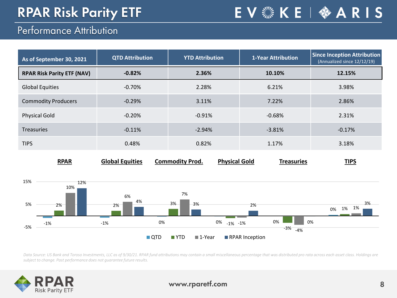EV & KE | � ARIS

#### Performance Attribution

| As of September 30, 2021          | <b>QTD Attribution</b> | <b>YTD Attribution</b> | <b>1-Year Attribution</b> | Since Inception Attribution<br>(Annualized since 12/12/19) |
|-----------------------------------|------------------------|------------------------|---------------------------|------------------------------------------------------------|
| <b>RPAR Risk Parity ETF (NAV)</b> | $-0.82%$               | 2.36%                  | 10.10%                    | 12.15%                                                     |
| <b>Global Equities</b>            | $-0.70%$               | 2.28%                  | 6.21%                     | 3.98%                                                      |
| <b>Commodity Producers</b>        | $-0.29%$               | 3.11%                  | 7.22%                     | 2.86%                                                      |
| <b>Physical Gold</b>              | $-0.20%$               | $-0.91%$               | $-0.68%$                  | 2.31%                                                      |
| <b>Treasuries</b>                 | $-0.11%$               | $-2.94%$               | $-3.81%$                  | $-0.17%$                                                   |
| <b>TIPS</b>                       | 0.48%                  | 0.82%                  | 1.17%                     | 3.18%                                                      |



Data Source: US Bank and Toroso Investments, LLC as of 9/30/21. RPAR fund attributions may contain a small miscellaneous percentage that was distributed pro rata across each asset class. Holdings are *subject to change. Past performance does not guarantee future results.*

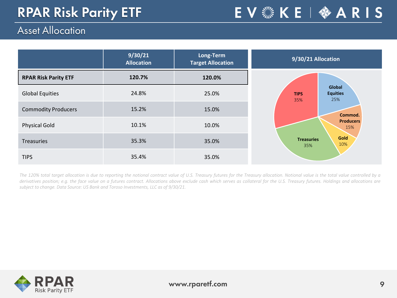EV <<< KE |  $\Leftrightarrow$  ARIS

### Asset Allocation

|                             | 9/30/21<br><b>Allocation</b> | Long-Term<br><b>Target Allocation</b> | 9/30/21 Allocation                                     |
|-----------------------------|------------------------------|---------------------------------------|--------------------------------------------------------|
| <b>RPAR Risk Parity ETF</b> | 120.7%                       | 120.0%                                |                                                        |
| <b>Global Equities</b>      | 24.8%                        | 25.0%                                 | Global<br><b>Equities</b><br><b>TIPS</b><br>25%<br>35% |
| <b>Commodity Producers</b>  | 15.2%                        | 15.0%                                 | Commod.                                                |
| <b>Physical Gold</b>        | 10.1%                        | 10.0%                                 | <b>Producers</b><br>15%                                |
| Treasuries                  | 35.3%                        | 35.0%                                 | Gold<br><b>Treasuries</b><br>10%<br>35%                |
| <b>TIPS</b>                 | 35.4%                        | 35.0%                                 |                                                        |

The 120% total target allocation is due to reporting the notional contract value of U.S. Treasury futures for the Treasury allocation. Notional value is the total value controlled by a derivatives position; e.g. the face value on a futures contract. Allocations above exclude cash which serves as collateral for the U.S. Treasury futures. Holdings and allocations are *subject to change. Data Source: US Bank and Toroso Investments, LLC as of 9/30/21.*

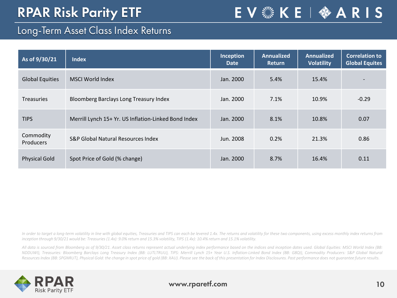#### Long-Term Asset Class Index Returns

| As of 9/30/21          | <b>Index</b>                                         | Inception<br><b>Date</b> | <b>Annualized</b><br><b>Return</b> | <b>Annualized</b><br><b>Volatility</b> | <b>Correlation to</b><br><b>Global Equites</b> |
|------------------------|------------------------------------------------------|--------------------------|------------------------------------|----------------------------------------|------------------------------------------------|
| <b>Global Equities</b> | MSCI World Index                                     | Jan. 2000                | 5.4%                               | 15.4%                                  |                                                |
| <b>Treasuries</b>      | Bloomberg Barclays Long Treasury Index               | Jan. 2000                | 7.1%                               | 10.9%                                  | $-0.29$                                        |
| <b>TIPS</b>            | Merrill Lynch 15+ Yr. US Inflation-Linked Bond Index | Jan. 2000                | 8.1%                               | 10.8%                                  | 0.07                                           |
| Commodity<br>Producers | S&P Global Natural Resources Index                   | Jun. 2008                | 0.2%                               | 21.3%                                  | 0.86                                           |
| <b>Physical Gold</b>   | Spot Price of Gold (% change)                        | Jan. 2000                | 8.7%                               | 16.4%                                  | 0.11                                           |

E V ▒ K E | � A R I S

In order to target a long-term volatility in line with global equities, Treasuries and TIPS can each be levered 1.4x. The returns and volatility for these two components, using excess monthly index returns from inception through 9/30/21 would be: Treasuries (1.4x): 9.0% return and 15.3% volatility, TIPS (1.4x): 10.4% return and 15.1% volatility.

All data is sourced from Bloomberg as of 9/30/21. Asset class returns represent actual underlying index performance based on the indices and inception dates used. Global Equities: MSCI World Index (BB: NDDUWI), Treasuries: Bloomberg Barclays Long Treasury Index (BB: LUTLTRUU), TIPS: Merrill Lynch 15+ Year U.S. Inflation-Linked Bond Index (BB: G8QI), Commodity Producers: S&P Global Natural Resources Index (BB: SPGNRUT), Physical Gold: the change in spot price of gold (BB: XAU). Please see the back of this presentation for Index Disclosures. Past performance does not quarantee future results.

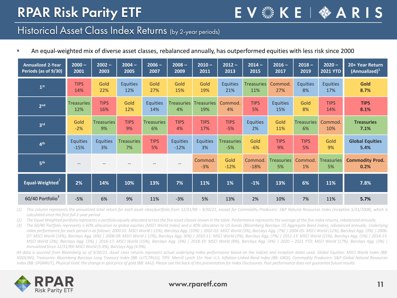E V ▒ K E | �� A R I S

#### Historical Asset Class Index Returns (by 2-year periods)

| <b>Annualized 2-Year</b> | $2000 -$          | $2002 -$          | $2004 -$          | $2006 -$          | $2008 -$          | $2010 -$          | $2012 -$          | $2014 -$          | $2016 -$                | $2018 -$          | $2020 -$                | 20+ Year Return                |
|--------------------------|-------------------|-------------------|-------------------|-------------------|-------------------|-------------------|-------------------|-------------------|-------------------------|-------------------|-------------------------|--------------------------------|
| Periods (as of 9/30)     | 2001              | 2003              | 2005              | 2007              | 2009              | 2011              | 2013              | 2015              | 2017                    | 2019              | <b>2021 YTD</b>         | $(Annualized)^1$               |
| 1 <sup>st</sup>          | <b>TIPS</b>       | Gold              | <b>Equities</b>   | Gold              | Gold              | Gold              | <b>Equities</b>   | <b>Treasuries</b> | Commod.                 | <b>Equities</b>   | <b>Equities</b>         | Gold                           |
|                          | 14%               | 22%               | 12%               | 27%               | 15%               | 19%               | 21%               | 11%               | 27%                     | 8%                | 17%                     | 8.7%                           |
| 2 <sub>nd</sub>          | <b>Treasuries</b> | <b>TIPS</b>       | Gold              | <b>Equities</b>   | <b>Treasuries</b> | <b>Treasuries</b> | Commod.           | <b>TIPS</b>       | <b>Equities</b>         | Gold              | <b>TIPS</b>             | <b>TIPS</b>                    |
|                          | 12%               | 16%               | 12%               | 14%               | 4%                | 19%               | 4%                | 5%                | 15%                     | 8%                | 14%                     | 8.1%                           |
| 3 <sup>rd</sup>          | Gold              | <b>Treasuries</b> | <b>TIPS</b>       | <b>Treasuries</b> | <b>TIPS</b>       | <b>TIPS</b>       | <b>TIPS</b>       | <b>Equities</b>   | Gold                    | <b>Treasuries</b> | Commod.                 | <b>Treasuries</b>              |
|                          | $-2%$             | 9%                | 9%                | 6%                | 4%                | 17%               | $-5%$             | 2%                | 11%                     | 6%                | 10%                     | 7.1%                           |
| 4 <sup>th</sup>          | <b>Equities</b>   | <b>Equities</b>   | <b>Treasuries</b> | <b>TIPS</b>       | <b>Equities</b>   | <b>Equities</b>   | <b>Treasuries</b> | Gold              | <b>TIPS</b>             | <b>TIPS</b>       | Gold                    | <b>Global Equities</b>         |
|                          | $-15%$            | 3%                | 7%                | 5%                | $-12%$            | 3%                | $-5%$             | $-6%$             | 9%                      | 5%                | 9%                      | 5.4%                           |
| 5 <sup>th</sup>          | $\qquad \qquad -$ |                   |                   |                   | $-$               | Commod.<br>$-3%$  | Gold<br>$-12%$    | Commod.<br>$-18%$ | <b>Treasuries</b><br>5% | Commod.<br>1%     | <b>Treasuries</b><br>5% | <b>Commodity Prod.</b><br>0.2% |
| Equal-Weighted           | 2%                | 14%               | 10%               | 13%               | 7%                | 11%               | 1%                | $-1%$             | 13%                     | 6%                | 11%                     | 7.8%                           |
| 60/40 Portfolio3         | $-5%$             | 6%                | 9%                | 11%               | $-3%$             | 5%                | 13%               | 2%                | 10%                     | 7%                | 11%                     | 5.7%                           |

An equal-weighted mix of diverse asset classes, rebalanced annually, has outperformed equities with less risk since 2000

(1) This column represents the annualized total return for each asset class/portfolio from 12/31/99 - 9/30/21, except for Commodity Producers: S&P Natural Resources Index (inception 5/31/2008), which is *calculated since the first full 2-year period.*

(2) The Equal Weighted portfolio represents a portfolio equally allocated across the five asset classes shown in the table. Performance represents the average of the five index returns, rebalanced annually.

The 60/40 Portfolio represents a 60% allocation to alobal equities (MSCI World Index) and a 40% allocation to US bonds (Bloomberg Barclays US Aggregate Bond Index), rebalanced annually. Underlying index performance for each period is as follows: 2000-01: MSCI World (-15%), Barclays Agg. (10%) | 2002-03: MSCI World (3%), Barclays Agg. (7%) | 2004-05: MSCI World (12%), Barclays Agg. (3%) | 2006-07: MSCI World (14%), Barclays Agg. (6%) | 2008-09: MSCI World (-12%), Barclays Agg. (6%) | 2010-11: MSCI World (3%), Barclays Agg. (7%) | 2012-13: MSCI World (21%), Barclays Agg. (1%) | 2014-15: MSCI World (2%), Barclays Agg. (3%) | 2016-17: MSCI World (15%), Barclays Agg. (3%) | 2018-19: MSCI World (8%), Barclays Agg. (4%) | 2020 - 2021 YTD: MSCI World (17%), Barclays Agg. (3%) | *Annualized Since 12/31/99: MSCI World (5.4%), Barclays Agg (4.9%).*

All data is sourced from Bloomberg as of 9/30/21. Asset class returns represent actual underlying index performance based on the indices and inception dates used. Global Equities: MSCI World Index (BB: NDDUWI), Treasuries: Bloomberg Barclays Long Treasury Index (BB: LUTLTRUU), TIPS: Merrill Lynch 15+ Year U.S. Inflation-Linked Bond Index (BB: G8QI), Commodity Producers: S&P Global Natural Resources Index (BB: SPGNRUT), Physical Gold: the change in spot price of gold (BB: XAU). Please see the back of this presentation for Index Disclosures. Past performance does not quarantee future results.

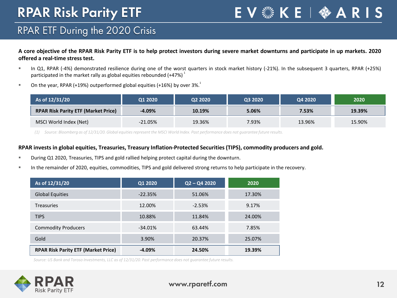E V ▒ K E | ◆ A R I S

### RPAR ETF During the 2020 Crisis

A core objective of the RPAR Risk Parity ETF is to help protect investors during severe market downturns and participate in up markets. 2020 **offered a real-time stress test.**

- In Q1, RPAR (-4%) demonstrated resilience during one of the worst quarters in stock market history (-21%). In the subsequent 3 quarters, RPAR (+25%) participated in the market rally as global equities rebounded (+47%)  $^{1}$
- $\blacksquare$  On the year, RPAR (+19%) outperformed global equities (+16%) by over 3%.

| As of 12/31/20                             | Q1 2020   | Q2 2020 | Q3 2020 | Q4 2020 | 2020   |
|--------------------------------------------|-----------|---------|---------|---------|--------|
| <b>RPAR Risk Parity ETF (Market Price)</b> | $-4.09%$  | 10.19%  | 5.06%   | 7.53%   | 19.39% |
| MSCI World Index (Net)                     | $-21.05%$ | 19.36%  | 7.93%   | 13.96%  | 15.90% |

(1) Source: Bloomberg as of 12/31/20. Global equities represent the MSCI World Index. Past performance does not guarantee future results.

#### **RPAR invests in global equities, Treasuries, Treasury Inflation-Protected Securities (TIPS), commodity producers and gold.**

- During Q1 2020, Treasuries, TIPS and gold rallied helping protect capital during the downturn.
- In the remainder of 2020, equities, commodities, TIPS and gold delivered strong returns to help participate in the recovery.

| As of 12/31/20                             | Q1 2020   | $Q2 - Q4 2020$ | 2020   |
|--------------------------------------------|-----------|----------------|--------|
| <b>Global Equities</b>                     | $-22.35%$ | 51.06%         | 17.30% |
| <b>Treasuries</b>                          | 12.00%    | $-2.53%$       | 9.17%  |
| <b>TIPS</b>                                | 10.88%    | 11.84%         | 24.00% |
| <b>Commodity Producers</b>                 | $-34.01%$ | 63.44%         | 7.85%  |
| Gold                                       | 3.90%     | 20.37%         | 25.07% |
| <b>RPAR Risk Parity ETF (Market Price)</b> | $-4.09%$  | 24.50%         | 19.39% |

*Source: US Bank and Toroso Investments, LLC as of 12/31/20. Past performance does not guarantee future results.* 

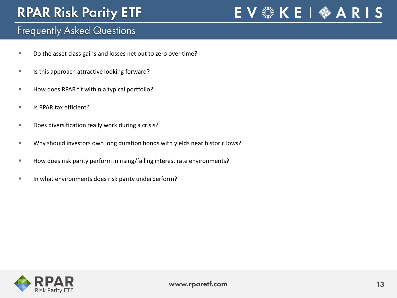EV . KE | ◆ A R I S

#### Frequently Asked Questions

- Do the asset class gains and losses net out to zero over time?
- Is this approach attractive looking forward?
- How does RPAR fit within a typical portfolio?
- Is RPAR tax efficient?
- **Does diversification really work during a crisis?**
- Why should investors own long duration bonds with yields near historic lows?
- How does risk parity perform in rising/falling interest rate environments?
- In what environments does risk parity underperform?

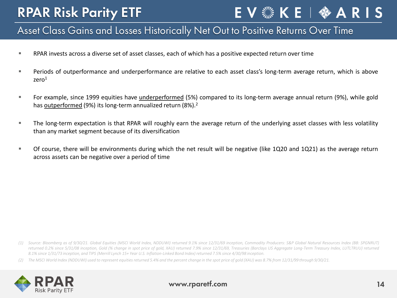## EV . KE | ◆ AR IS

#### Asset Class Gains and Losses Historically Net Out to Positive Returns Over Time

- RPAR invests across a diverse set of asset classes, each of which has a positive expected return over time
- **Periods of outperformance and underperformance are relative to each asset class's long-term average return, which is above** zero1
- For example, since 1999 equities have underperformed (5%) compared to its long-term average annual return (9%), while gold has **outperformed** (9%) its long-term annualized return (8%).<sup>2</sup>
- The long-term expectation is that RPAR will roughly earn the average return of the underlying asset classes with less volatility than any market segment because of its diversification
- Of course, there will be environments during which the net result will be negative (like 1Q20 and 1Q21) as the average return across assets can be negative over a period of time

<sup>(2)</sup> The MSCI World Index (NDDUWI) used to represent equities returned 5.4% and the percent change in the spot price of gold (XAU) was 8.7% from 12/31/99 through 9/30/21.



<sup>(1)</sup> Source: Bloomberg as of 9/30/21. Global Equities (MSCI World Index, NDDUWI) returned 9.1% since 12/31/69 inception, Commodity Producers: S&P Global Natural Resources Index (BB: SPGNRUT) returned 0.2% since 5/31/08 inception, Gold (% change in spot price of gold, XAU) returned 7.9% since 12/31/69, Treasuries (Barclays US Aggregate Long-Term Treasury Index, LUTLTRUU) returned 8.1% since 1/31/73 inception, and TIPS (Merrill Lynch 15+ Year U.S. Inflation-Linked Bond Index) returned 7.5% since 4/30/98 inception.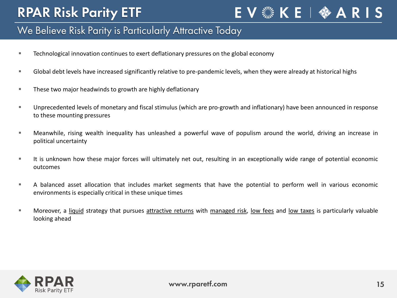### EV . KE | ◆ AR IS

#### We Believe Risk Parity is Particularly Attractive Today

- Technological innovation continues to exert deflationary pressures on the global economy
- Global debt levels have increased significantly relative to pre-pandemic levels, when they were already at historical highs
- **These two major headwinds to growth are highly deflationary**
- Unprecedented levels of monetary and fiscal stimulus (which are pro-growth and inflationary) have been announced in response to these mounting pressures
- Meanwhile, rising wealth inequality has unleashed a powerful wave of populism around the world, driving an increase in political uncertainty
- It is unknown how these major forces will ultimately net out, resulting in an exceptionally wide range of potential economic outcomes
- A balanced asset allocation that includes market segments that have the potential to perform well in various economic environments is especially critical in these unique times
- **Moreover, a liquid strategy that pursues attractive returns with managed risk, low fees and low taxes is particularly valuable** looking ahead

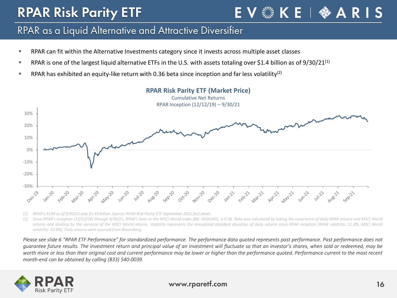#### RPAR as a Liquid Alternative and Attractive Diversifier

- RPAR can fit within the Alternative Investments category since it invests across multiple asset classes
- **RPAR** is one of the largest liquid alternative ETFs in the U.S. with assets totaling over \$1.4 billion as of 9/30/21<sup>(1)</sup>
- **RPAR has exhibited an equity-like return with 0.36 beta since inception and far less volatility**<sup>(2)</sup>



**RPAR Risk Parity ETF (Market Price)**

*(1) RPAR's AUM as of 9/30/21was \$1.43 billion. Source: RPAR Risk Parity ETF September 2021 fact sheet.*

Since RPAR's inception (12/12/19) through 9/30/21, RPAR's beta to the MSCI World Index (BB: NDDUWI), is 0.36. Beta was calculated by taking the covariance of daily RPAR returns and MSCI World returns and dividing by the variance of the MSCI World returns. Volatility represents the annualized standard deviation of daily returns since RPAR inception (RPAR volatility: 12.8%, MSCI World *volatility: 22.9%). Daily returns were sourced from Bloomberg.*

Please see slide 6 "RPAR ETF Performance" for standardized performance. The performance data quoted represents past performance. Past performance does not quarantee future results. The investment return and principal value of an investment will fluctuate so that an investor's shares, when sold or redeemed, may be worth more or less than their original cost and current performance may be lower or higher than the performance quoted. Performance current to the most recent *month-end can be obtained by calling (833) 540-0039.*



#### www.rparetf.com and the community of the community of the community of the community of the community of the community of the community of the community of the community of the community of the community of the community o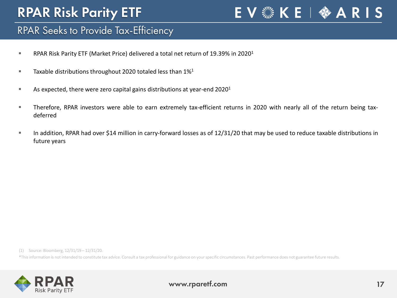### E V ▒ K E | ◆ A R I S

#### RPAR Seeks to Provide Tax-Efficiency

- **RPAR Risk Parity ETF (Market Price) delivered a total net return of 19.39% in 2020**<sup>1</sup>
- **Taxable distributions throughout 2020 totaled less than 1%**<sup>1</sup>
- $\blacksquare$  As expected, there were zero capital gains distributions at year-end 2020<sup>1</sup>
- Therefore, RPAR investors were able to earn extremely tax-efficient returns in 2020 with nearly all of the return being taxdeferred
- In addition, RPAR had over \$14 million in carry-forward losses as of 12/31/20 that may be used to reduce taxable distributions in future years

(1) Source: Bloomberg, 12/31/19 – 12/31/20.

\*This information is not intended to constitute tax advice. Consult a tax professional for guidance on yourspecific circumstances. Past performance does not guarantee future results.

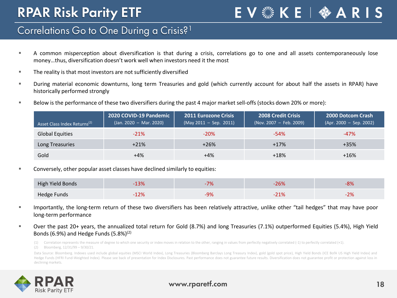E V ▒ K E | �� A R I S

#### Correlations Go to One During a Crisis?<sup>1</sup>

- A common misperception about diversification is that during a crisis, correlations go to one and all assets contemporaneously lose money…thus, diversification doesn't work well when investors need it the most
- **The reality is that most investors are not sufficiently diversified**
- During material economic downturns, long term Treasuries and gold (which currently account for about half the assets in RPAR) have historically performed strongly
- Below is the performance of these two diversifiers during the past 4 major market sell-offs (stocks down 20% or more):

| Asset Class Index Returns <sup>(2)</sup> | 2020 COVID-19 Pandemic<br>$($ Jan. 2020 – Mar. 2020) | <b>2011 Eurozone Crisis</b><br>$(May 2011 - Sep. 2011)$ | <b>2008 Credit Crisis</b><br>$($ Nov. 2007 – Feb. 2009) | <b>2000 Dotcom Crash</b><br>$(Apr. 2000 - Sep. 2002)$ |
|------------------------------------------|------------------------------------------------------|---------------------------------------------------------|---------------------------------------------------------|-------------------------------------------------------|
| <b>Global Equities</b>                   | $-21%$                                               | $-20%$                                                  | $-54%$                                                  | $-47%$                                                |
| Long Treasuries                          | $+21%$                                               | $+26%$                                                  | $+17%$                                                  | $+35%$                                                |
| Gold                                     | +4%                                                  | +4%                                                     | $+18%$                                                  | $+16%$                                                |

Conversely, other popular asset classes have declined similarly to equities:

| High Yield Bonds   | L3% |                  | $-26%$              | OO.<br><b>O70</b> |
|--------------------|-----|------------------|---------------------|-------------------|
| <b>Hedge Funds</b> | 12% | $\Omega$<br>-970 | <b>210/</b><br>-21% | 270               |

- Importantly, the long-term return of these two diversifiers has been relatively attractive, unlike other "tail hedges" that may have poor long-term performance
- Over the past 20+ years, the annualized total return for Gold (8.7%) and long Treasuries (7.1%) outperformed Equities (5.4%), High Yield Bonds (6.9%) and Hedge Funds  $(5.8\%)^{(2)}$

(1) Correlation represents the measure of degree to which one security or index moves in relation to the other, ranging in values from perfectly negatively correlated (-1) to perfectly correlated (+1).

(2) Bloomberg, 12/31/99 – 9/30/21.

Data Source: Bloomberg. Indexes used include global equities (MSCI World Index), Long Treasuries (Bloomberg Barclays Long Treasury Index), gold (gold spot price), High Yield Bonds (ICE BofA US High Yield Index) and Hedge Funds (HFRI Fund-Weighted Index). Please see back of presentation for Index Disclosures. Past performance does not guarantee future results. Diversification does not guarantee profit or protection against loss in declining markets.

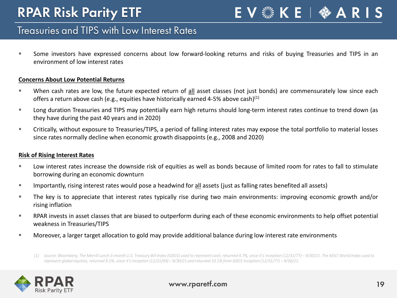EV . KE | ⇔ A R I S

#### Treasuries and TIPS with Low Interest Rates

 Some investors have expressed concerns about low forward-looking returns and risks of buying Treasuries and TIPS in an environment of low interest rates

#### **Concerns About Low Potential Returns**

- When cash rates are low, the future expected return of all asset classes (not just bonds) are commensurately low since each offers a return above cash (e.g., equities have historically earned 4-5% above cash)<sup>(1)</sup>
- Long duration Treasuries and TIPS may potentially earn high returns should long-term interest rates continue to trend down (as they have during the past 40 years and in 2020)
- Critically, without exposure to Treasuries/TIPS, a period of falling interest rates may expose the total portfolio to material losses since rates normally decline when economic growth disappoints (e.g., 2008 and 2020)

#### **Risk of Rising Interest Rates**

- Low interest rates increase the downside risk of equities as well as bonds because of limited room for rates to fall to stimulate borrowing during an economic downturn
- Importantly, rising interest rates would pose a headwind for all assets (just as falling rates benefited all assets)
- The key is to appreciate that interest rates typically rise during two main environments: improving economic growth and/or rising inflation
- RPAR invests in asset classes that are biased to outperform during each of these economic environments to help offset potential weakness in Treasuries/TIPS
- Moreover, a larger target allocation to gold may provide additional balance during low interest rate environments

*(1) Source: Bloomberg. The Merrill Lynch 3-month U.S. Treasury Bill Index (G0O1) used to represent cash, returned 4.7%, since it's inception (12/31/77) – 9/30/21. The MSCI World Index used to represent global equities, returned 9.1%, since it's inception (12/31/69) – 9/30/21 and returned 10.1% from G0O1 inception (12/31/77) – 9/30/21.*

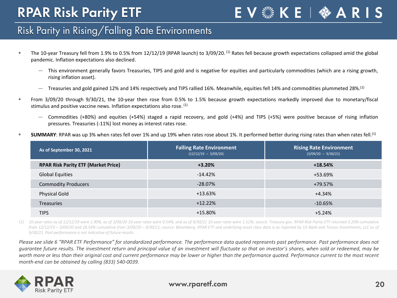EV & KE | � ARIS

#### Risk Parity in Rising/Falling Rate Environments

- The 10-year Treasury fell from 1.9% to 0.5% from 12/12/19 (RPAR launch) to 3/09/20.<sup>(1)</sup> Rates fell because growth expectations collapsed amid the global pandemic. Inflation expectations also declined.
	- ― This environment generally favors Treasuries, TIPS and gold and is negative for equities and particularly commodities (which are a rising growth, rising inflation asset).
	- Treasuries and gold gained 12% and 14% respectively and TIPS rallied 16%. Meanwhile, equities fell 14% and commodities plummeted 28%.<sup>(1)</sup>
- From 3/09/20 through 9/30/21, the 10-year then rose from 0.5% to 1.5% because growth expectations markedly improved due to monetary/fiscal stimulus and positive vaccine news. Inflation expectations also rose. (1)
	- ― Commodities (+80%) and equities (+54%) staged a rapid recovery, and gold (+4%) and TIPS (+5%) were positive because of rising inflation pressures. Treasuries (-11%) lost money as interest rates rose.
- **SUMMARY**: RPAR was up 3% when rates fell over 1% and up 19% when rates rose about 1%. It performed better during rising rates than when rates fell.<sup>(1)</sup>

| As of September 30, 2021                   | <b>Falling Rate Environment</b><br>$(12/12/19 - 3/09/20)$ | <b>Rising Rate Environment</b><br>$(3/09/20 - 9/30/21)$ |
|--------------------------------------------|-----------------------------------------------------------|---------------------------------------------------------|
| <b>RPAR Risk Parity ETF (Market Price)</b> | $+3.20%$                                                  | $+18.54%$                                               |
| <b>Global Equities</b>                     | $-14.42%$                                                 | +53.69%                                                 |
| <b>Commodity Producers</b>                 | $-28.07\%$                                                | +79.57%                                                 |
| <b>Physical Gold</b>                       | +13.63%                                                   | $+4.34%$                                                |
| <b>Treasuries</b>                          | $+12.22%$                                                 | $-10.65%$                                               |
| <b>TIPS</b>                                | $+15.80\%$                                                | $+5.24%$                                                |

(1) 10-year rates as of 12/12/19 were 1.90%, as of 3/09/20 10-year rates were 0.54%, and as of 9/30/21 10-year rates were 1.52%; source: Treasury.gov. RPAR Risk Parity ETF returned 3.20% cumulative from 12/12/19 - 3/09/20 and 18.54% cumulative from 3/09/20 - 9/30/21; source: Bloomberg. RPAR ETF and underlying asset class data is as reported by US Bank and Toroso Investments, LLC as of *9/30/21. Past performance is not indicative of future results.*

Please see slide 6 "RPAR ETF Performance" for standardized performance. The performance data quoted represents past performance. Past performance does not quarantee future results. The investment return and principal value of an investment will fluctuate so that an investor's shares, when sold or redeemed, may be worth more or less than their original cost and current performance may be lower or higher than the performance quoted. Performance current to the most recent *month-end can be obtained by calling (833) 540-0039.*

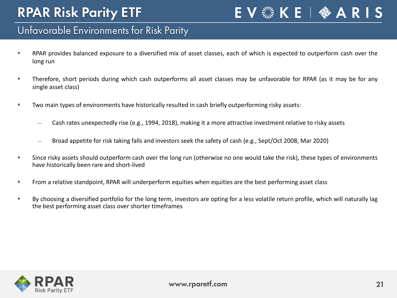### E V ▒ K E | �� A R I S

#### Unfavorable Environments for Risk Parity

- RPAR provides balanced exposure to a diversified mix of asset classes, each of which is expected to outperform cash over the long run
- Therefore, short periods during which cash outperforms all asset classes may be unfavorable for RPAR (as it may be for any single asset class)
- Two main types of environments have historically resulted in cash briefly outperforming risky assets:
	- Cash rates unexpectedly rise (e.g., 1994, 2018), making it a more attractive investment relative to risky assets
	- ― Broad appetite for risk taking falls and investors seek the safety of cash (e.g., Sept/Oct 2008, Mar 2020)
- Since risky assets should outperform cash over the long run (otherwise no one would take the risk), these types of environments have historically been rare and short-lived
- From a relative standpoint, RPAR will underperform equities when equities are the best performing asset class
- By choosing a diversified portfolio for the long term, investors are opting for a less volatile return profile, which will naturally lag the best performing asset class over shorter timeframes

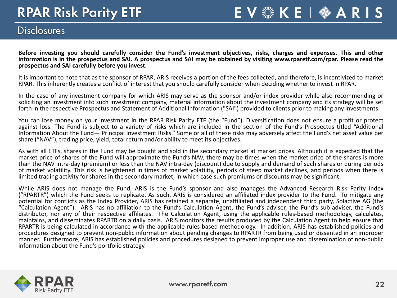EV & KE |  $A$  ARIS

#### **Disclosures**

Before investing you should carefully consider the Fund's investment objectives, risks, charges and expenses. This and other information is in the prospectus and SAI. A prospectus and SAI may be obtained by visiting www.rparetf.com/rpar. Please read the **prospectus and SAI carefully before you invest.**

It is important to note that as the sponsor of RPAR, ARIS receives a portion of the fees collected, and therefore, is incentivized to market RPAR. This inherently creates a conflict of interest that you should carefully consider when deciding whether to invest in RPAR.

In the case of any investment company for which ARIS may serve as the sponsor and/or index provider while also recommending or soliciting an investment into such investment company, material information about the investment company and its strategy will be set forth in the respective Prospectus and Statement of Additional Information ("SAI") provided to clients prior to making any investments.

You can lose money on your investment in the RPAR Risk Parity ETF (the "Fund"). Diversification does not ensure a profit or protect against loss. The Fund is subject to a variety of risks which are included in the section of the Fund's Prospectus titled "Additional Information About the Fund— Principal Investment Risks." Some or all of these risks may adversely affect the Fund's net asset value per share ("NAV"), trading price, yield, total return and/or ability to meet its objectives.

As with all ETFs, shares in the Fund may be bought and sold in the secondary market at market prices. Although it is expected that the market price of shares of the Fund will approximate the Fund's NAV, there may be times when the market price of the shares is more than the NAV intra-day (premium) or less than the NAV intra-day (discount) due to supply and demand of such shares or during periods of market volatility. This risk is heightened in times of market volatility, periods of steep market declines, and periods when there is limited trading activity for shares in the secondary market, in which case such premiums or discounts may be significant.

While ARIS does not manage the Fund, ARIS is the Fund's sponsor and also manages the Advanced Research Risk Parity Index ("RPARTR") which the Fund seeks to replicate. As such, ARIS is considered an affiliated index provider to the Fund. To mitigate any potential for conflicts as the Index Provider, ARIS has retained a separate, unaffiliated and independent third party, Solactive AG (the "Calculation Agent"). ARIS has no affiliation to the Fund's Calculation Agent, the Fund's adviser, the Fund's sub-adviser, the Fund's distributor, nor any of their respective affiliates. The Calculation Agent, using the applicable rules-based methodology, calculates, maintains, and disseminates RPARTR on a daily basis. ARIS monitors the results produced by the Calculation Agent to help ensure that RPARTR is being calculated in accordance with the applicable rules-based methodology. In addition, ARIS has established policies and procedures designed to prevent non-public information about pending changes to RPARTR from being used or dissented in an improper manner. Furthermore, ARIS has established policies and procedures designed to prevent improper use and dissemination of non-public information about the Fund's portfolio strategy.

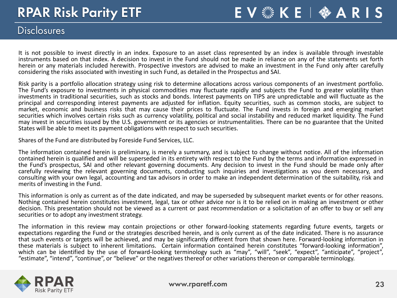#### **Disclosures**

It is not possible to invest directly in an index. Exposure to an asset class represented by an index is available through investable instruments based on that index. A decision to invest in the Fund should not be made in reliance on any of the statements set forth herein or any materials included herewith. Prospective investors are advised to make an investment in the Fund only after carefully considering the risks associated with investing in such Fund, as detailed in the Prospectus and SAI.

EV & KE |  $A$  ARIS

Risk parity is a portfolio allocation strategy using risk to determine allocations across various components of an investment portfolio.<br>The Fund's exposure to investments in physical commodities may fluctuate rapidly and investments in traditional securities, such as stocks and bonds. Interest payments on TIPS are unpredictable and will fluctuate as the principal and corresponding interest payments are adjusted for inflation. Equity securities, such as common stocks, are subject to market, economic and business risks that may cause their prices to fluctuate. The Fund invests in foreign and emerging market securities which involves certain risks such as currency volatility, political and social instability and reduced market liquidity. The Fund may invest in securities issued by the U.S. government or its agencies or instrumentalities. There can be no guarantee that the United States will be able to meet its payment obligations with respect to such securities.

Shares of the Fund are distributed by Foreside Fund Services, LLC.

The information contained herein is preliminary, is merely a summary, and is subject to change without notice. All of the information contained herein is qualified and will be superseded in its entirety with respect to the Fund by the terms and information expressed in the Fund's prospectus, SAI and other relevant governing documents. Any decision to invest in the Fund should be made only after carefully reviewing the relevant governing documents, conducting such inquiries and investigations as you deem necessary, and consulting with your own legal, accounting and tax advisors in order to make an independent determination of the suitability, risk and merits of investing in the Fund.

This information is only as current as of the date indicated, and may be superseded by subsequent market events or for other reasons.<br>Nothing contained herein constitutes investment, legal, tax or other advice nor is it to decision. This presentation should not be viewed as a current or past recommendation or a solicitation of an offer to buy or sell any securities or to adopt any investment strategy.

The information in this review may contain projections or other forward-looking statements regarding future events, targets or expectations regarding the Fund or the strategies described herein, and is only current as of the date indicated. There is no assurance that such events or targets will be achieved, and may be significantly different from that shown here. Forward-looking information in these materials is subject to inherent limitations. Certain information contained herein constitutes "forward-looking information", which can be identified by the use of forward-looking terminology such as "may", "will", "seek", "expect", "anticipate", "project", "estimate", "intend", "continue", or "believe" or the negatives thereof or other variations thereon or comparable terminology.

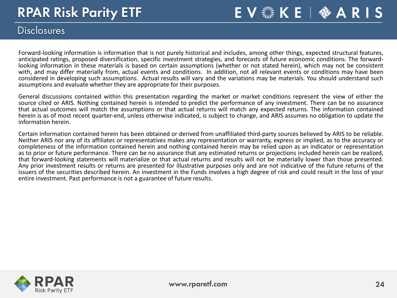EV & KE |  $\Leftrightarrow$  ARIS

#### **Disclosures**

Forward-looking information is information that is not purely historical and includes, among other things, expected structural features,<br>anticipated ratings, proposed diversification, specific investment strategies, and fo looking information in these materials is based on certain assumptions (whether or not stated herein), which may not be consistent with, and may differ materially from, actual events and conditions. In addition, not all relevant events or conditions may have been considered in developing such assumptions. Actual results will vary and the variations may be materials. You should understand such assumptions and evaluate whether they are appropriate for their purposes.

General discussions contained within this presentation regarding the market or market conditions represent the view of either the source cited or ARIS. Nothing contained herein is intended to predict the performance of any investment. There can be no assurance that actual outcomes will match the assumptions or that actual returns will match any expected returns. The information contained herein is as of most recent quarter-end, unless otherwise indicated, is subject to change, and ARIS assumes no obligation to update the information herein.

Certain information contained herein has been obtained or derived from unaffiliated third-party sources believed by ARIS to be reliable.<br>Neither ARIS nor any of its affiliates or representatives makes any representation or completeness of the information contained herein and nothing contained herein may be relied upon as an indicator or representation as to prior or future performance. There can be no assurance that any estimated returns or projections included herein can be realized, that forward-looking statements will materialize or that actual returns and results will not be materially lower than those presented.<br>Any prior investment results or returns are presented for illustrative purposes only an issuers of the securities described herein. An investment in the Funds involves a high degree of risk and could result in the loss of your entire investment. Past performance is not a guarantee of future results.